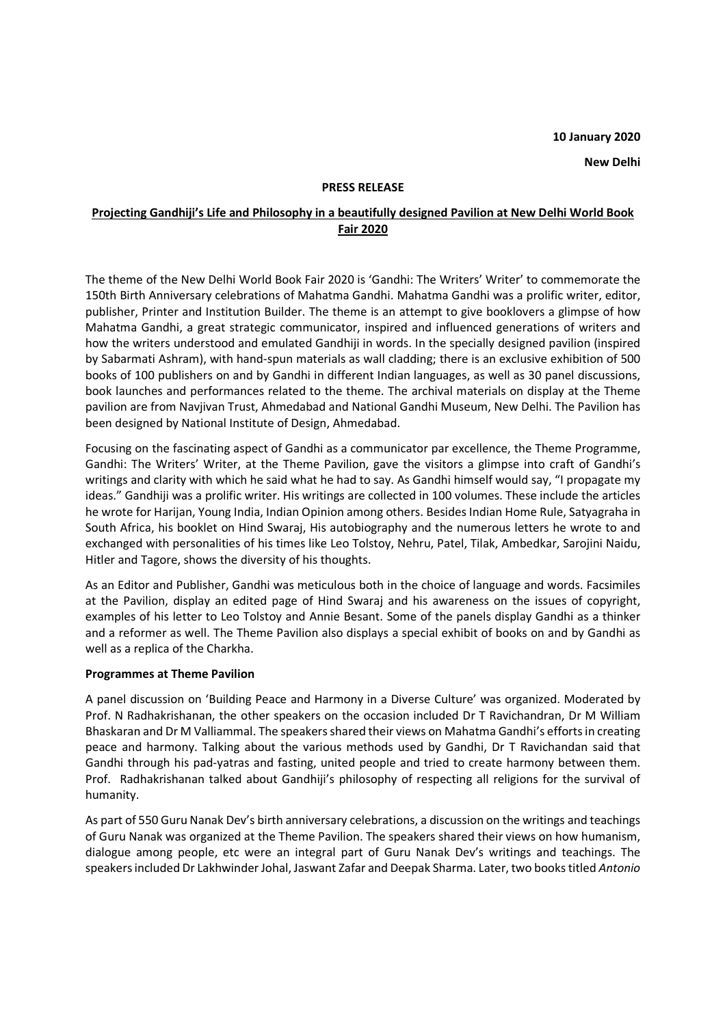### **PRESS RELEASE**

# **Projecting Gandhiji's Life and Philosophy in a beautifully designed Pavilion at New Delhi World Book Fair 2020**

The theme of the New Delhi World Book Fair 2020 is 'Gandhi: The Writers' Writer' to commemorate the 150th Birth Anniversary celebrations of Mahatma Gandhi. Mahatma Gandhi was a prolific writer, editor, publisher, Printer and Institution Builder. The theme is an attempt to give booklovers a glimpse of how Mahatma Gandhi, a great strategic communicator, inspired and influenced generations of writers and how the writers understood and emulated Gandhiji in words. In the specially designed pavilion (inspired by Sabarmati Ashram), with hand-spun materials as wall cladding; there is an exclusive exhibition of 500 books of 100 publishers on and by Gandhi in different Indian languages, as well as 30 panel discussions, book launches and performances related to the theme. The archival materials on display at the Theme pavilion are from Navjivan Trust, Ahmedabad and National Gandhi Museum, New Delhi. The Pavilion has been designed by National Institute of Design, Ahmedabad.

Focusing on the fascinating aspect of Gandhi as a communicator par excellence, the Theme Programme, Gandhi: The Writers' Writer, at the Theme Pavilion, gave the visitors a glimpse into craft of Gandhi's writings and clarity with which he said what he had to say. As Gandhi himself would say, "I propagate my ideas." Gandhiji was a prolific writer. His writings are collected in 100 volumes. These include the articles he wrote for Harijan, Young India, Indian Opinion among others. Besides Indian Home Rule, Satyagraha in South Africa, his booklet on Hind Swaraj, His autobiography and the numerous letters he wrote to and exchanged with personalities of his times like Leo Tolstoy, Nehru, Patel, Tilak, Ambedkar, Sarojini Naidu, Hitler and Tagore, shows the diversity of his thoughts.

As an Editor and Publisher, Gandhi was meticulous both in the choice of language and words. Facsimiles at the Pavilion, display an edited page of Hind Swaraj and his awareness on the issues of copyright, examples of his letter to Leo Tolstoy and Annie Besant. Some of the panels display Gandhi as a thinker and a reformer as well. The Theme Pavilion also displays a special exhibit of books on and by Gandhi as well as a replica of the Charkha.

### **Programmes at Theme Pavilion**

A panel discussion on 'Building Peace and Harmony in a Diverse Culture' was organized. Moderated by Prof. N Radhakrishanan, the other speakers on the occasion included Dr T Ravichandran, Dr M William Bhaskaran and Dr M Valliammal. The speakers shared their views on Mahatma Gandhi's efforts in creating peace and harmony. Talking about the various methods used by Gandhi, Dr T Ravichandan said that Gandhi through his pad-yatras and fasting, united people and tried to create harmony between them. Prof. Radhakrishanan talked about Gandhiji's philosophy of respecting all religions for the survival of humanity.

As part of 550 Guru Nanak Dev's birth anniversary celebrations, a discussion on the writings and teachings of Guru Nanak was organized at the Theme Pavilion. The speakers shared their views on how humanism, dialogue among people, etc were an integral part of Guru Nanak Dev's writings and teachings. The speakers included Dr Lakhwinder Johal, Jaswant Zafar and Deepak Sharma. Later, two books titled *Antonio*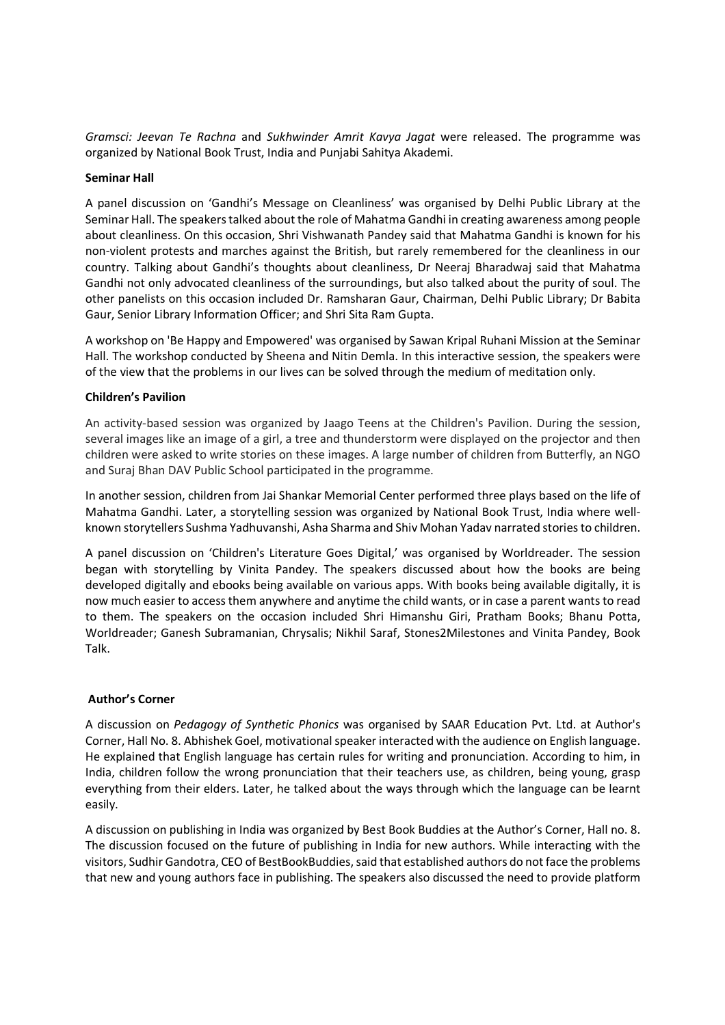*Gramsci: Jeevan Te Rachna* and *Sukhwinder Amrit Kavya Jagat* were released. The programme was organized by National Book Trust, India and Punjabi Sahitya Akademi.

## **Seminar Hall**

A panel discussion on 'Gandhi's Message on Cleanliness' was organised by Delhi Public Library at the Seminar Hall. The speakers talked about the role of Mahatma Gandhi in creating awareness among people about cleanliness. On this occasion, Shri Vishwanath Pandey said that Mahatma Gandhi is known for his non-violent protests and marches against the British, but rarely remembered for the cleanliness in our country. Talking about Gandhi's thoughts about cleanliness, Dr Neeraj Bharadwaj said that Mahatma Gandhi not only advocated cleanliness of the surroundings, but also talked about the purity of soul. The other panelists on this occasion included Dr. Ramsharan Gaur, Chairman, Delhi Public Library; Dr Babita Gaur, Senior Library Information Officer; and Shri Sita Ram Gupta.

A workshop on 'Be Happy and Empowered' was organised by Sawan Kripal Ruhani Mission at the Seminar Hall. The workshop conducted by Sheena and Nitin Demla. In this interactive session, the speakers were of the view that the problems in our lives can be solved through the medium of meditation only.

## **Children's Pavilion**

An activity-based session was organized by Jaago Teens at the Children's Pavilion. During the session, several images like an image of a girl, a tree and thunderstorm were displayed on the projector and then children were asked to write stories on these images. A large number of children from Butterfly, an NGO and Suraj Bhan DAV Public School participated in the programme.

In another session, children from Jai Shankar Memorial Center performed three plays based on the life of Mahatma Gandhi. Later, a storytelling session was organized by National Book Trust, India where wellknown storytellers Sushma Yadhuvanshi, Asha Sharma and Shiv Mohan Yadav narrated stories to children.

A panel discussion on 'Children's Literature Goes Digital,' was organised by Worldreader. The session began with storytelling by Vinita Pandey. The speakers discussed about how the books are being developed digitally and ebooks being available on various apps. With books being available digitally, it is now much easier to access them anywhere and anytime the child wants, or in case a parent wants to read to them. The speakers on the occasion included Shri Himanshu Giri, Pratham Books; Bhanu Potta, Worldreader; Ganesh Subramanian, Chrysalis; Nikhil Saraf, Stones2Milestones and Vinita Pandey, Book Talk.

## **Author's Corner**

A discussion on *Pedagogy of Synthetic Phonics* was organised by SAAR Education Pvt. Ltd. at Author's Corner, Hall No. 8. Abhishek Goel, motivational speaker interacted with the audience on English language. He explained that English language has certain rules for writing and pronunciation. According to him, in India, children follow the wrong pronunciation that their teachers use, as children, being young, grasp everything from their elders. Later, he talked about the ways through which the language can be learnt easily.

A discussion on publishing in India was organized by Best Book Buddies at the Author's Corner, Hall no. 8. The discussion focused on the future of publishing in India for new authors. While interacting with the visitors, Sudhir Gandotra, CEO of BestBookBuddies, said that established authors do not face the problems that new and young authors face in publishing. The speakers also discussed the need to provide platform